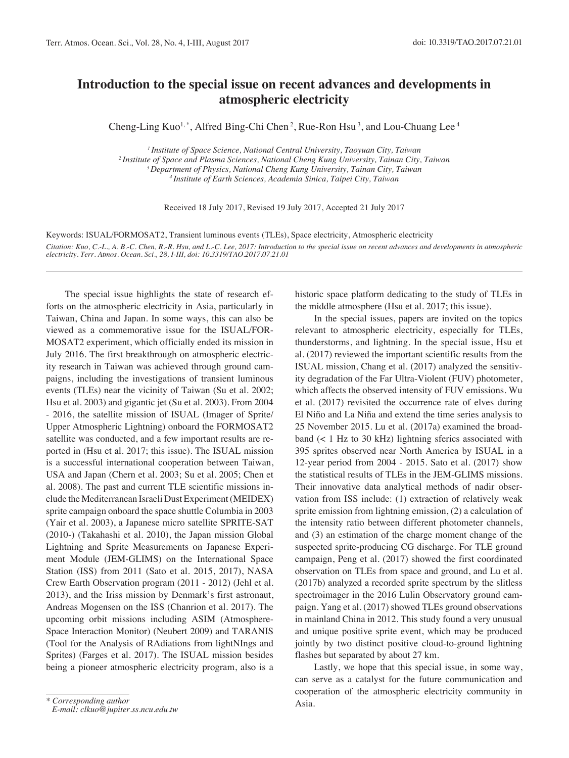## **Introduction to the special issue on recent advances and developments in atmospheric electricity**

Cheng-Ling Kuo<sup>1,\*</sup>, Alfred Bing-Chi Chen<sup>2</sup>, Rue-Ron Hsu<sup>3</sup>, and Lou-Chuang Lee<sup>4</sup>

*1 Institute of Space Science, National Central University, Taoyuan City, Taiwan 2 Institute of Space and Plasma Sciences, National Cheng Kung University, Tainan City, Taiwan 3 Department of Physics, National Cheng Kung University, Tainan City, Taiwan 4 Institute of Earth Sciences, Academia Sinica, Taipei City, Taiwan*

Received 18 July 2017, Revised 19 July 2017, Accepted 21 July 2017

Keywords: ISUAL/FORMOSAT2, Transient luminous events (TLEs), Space electricity, Atmospheric electricity *Citation: Kuo, C.-L., A. B.-C. Chen, R.-R. Hsu, and L.-C. Lee, 2017: Introduction to the special issue on recent advances and developments in atmospheric electricity. Terr. Atmos. Ocean. Sci., 28, I-III, doi: 10.3319/TAO.2017.07.21.01*

The special issue highlights the state of research efforts on the atmospheric electricity in Asia, particularly in Taiwan, China and Japan. In some ways, this can also be viewed as a commemorative issue for the ISUAL/FOR-MOSAT2 experiment, which officially ended its mission in July 2016. The first breakthrough on atmospheric electricity research in Taiwan was achieved through ground campaigns, including the investigations of transient luminous events (TLEs) near the vicinity of Taiwan (Su et al. 2002; Hsu et al. 2003) and gigantic jet (Su et al. 2003). From 2004 - 2016, the satellite mission of ISUAL (Imager of Sprite/ Upper Atmospheric Lightning) onboard the FORMOSAT2 satellite was conducted, and a few important results are reported in (Hsu et al. 2017; this issue). The ISUAL mission is a successful international cooperation between Taiwan, USA and Japan (Chern et al. 2003; Su et al. 2005; Chen et al. 2008). The past and current TLE scientific missions include the Mediterranean Israeli Dust Experiment (MEIDEX) sprite campaign onboard the space shuttle Columbia in 2003 (Yair et al. 2003), a Japanese micro satellite SPRITE-SAT (2010-) (Takahashi et al. 2010), the Japan mission Global Lightning and Sprite Measurements on Japanese Experiment Module (JEM-GLIMS) on the International Space Station (ISS) from 2011 (Sato et al. 2015, 2017), NASA Crew Earth Observation program (2011 - 2012) (Jehl et al. 2013), and the Iriss mission by Denmark's first astronaut, Andreas Mogensen on the ISS (Chanrion et al. 2017). The upcoming orbit missions including ASIM (Atmosphere-Space Interaction Monitor) (Neubert 2009) and TARANIS (Tool for the Analysis of RAdiations from lightNIngs and Sprites) (Farges et al. 2017). The ISUAL mission besides being a pioneer atmospheric electricity program, also is a

historic space platform dedicating to the study of TLEs in the middle atmosphere (Hsu et al. 2017; this issue).

In the special issues, papers are invited on the topics relevant to atmospheric electricity, especially for TLEs, thunderstorms, and lightning. In the special issue, Hsu et al. (2017) reviewed the important scientific results from the ISUAL mission, Chang et al. (2017) analyzed the sensitivity degradation of the Far Ultra-Violent (FUV) photometer, which affects the observed intensity of FUV emissions. Wu et al. (2017) revisited the occurrence rate of elves during El Niño and La Niña and extend the time series analysis to 25 November 2015. Lu et al. (2017a) examined the broadband  $\left($  < 1 Hz to 30 kHz) lightning sferics associated with 395 sprites observed near North America by ISUAL in a 12-year period from 2004 - 2015. Sato et al. (2017) show the statistical results of TLEs in the JEM-GLIMS missions. Their innovative data analytical methods of nadir observation from ISS include: (1) extraction of relatively weak sprite emission from lightning emission, (2) a calculation of the intensity ratio between different photometer channels, and (3) an estimation of the charge moment change of the suspected sprite-producing CG discharge. For TLE ground campaign, Peng et al. (2017) showed the first coordinated observation on TLEs from space and ground, and Lu et al. (2017b) analyzed a recorded sprite spectrum by the slitless spectroimager in the 2016 Lulin Observatory ground campaign. Yang et al. (2017) showed TLEs ground observations in mainland China in 2012. This study found a very unusual and unique positive sprite event, which may be produced jointly by two distinct positive cloud-to-ground lightning flashes but separated by about 27 km.

Lastly, we hope that this special issue, in some way, can serve as a catalyst for the future communication and cooperation of the atmospheric electricity community in Asia.

*<sup>\*</sup> Corresponding author*

*E-mail: clkuo@jupiter.ss.ncu.edu.tw*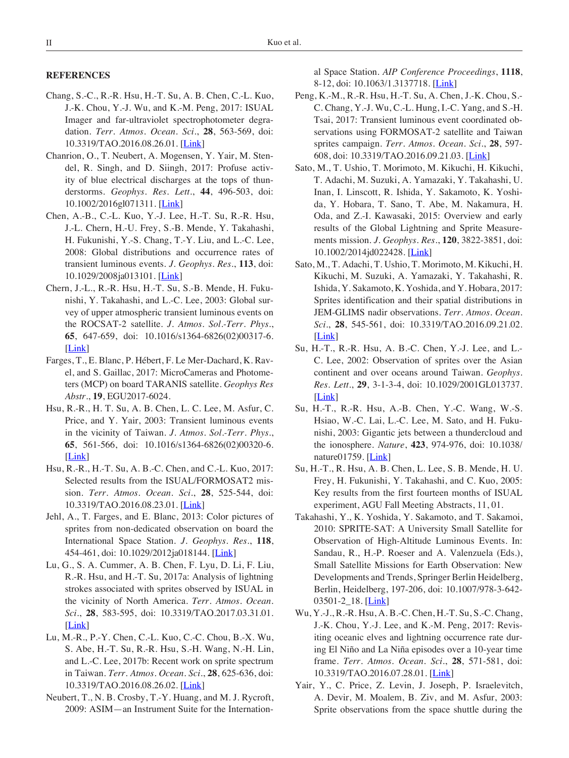## **References**

- Chang, S.-C., R.-R. Hsu, H.-T. Su, A. B. Chen, C.-L. Kuo, J.-K. Chou, Y.-J. Wu, and K.-M. Peng, 2017: ISUAL Imager and far-ultraviolet spectrophotometer degradation. *Terr. Atmos. Ocean. Sci.*, **28**, 563-569, doi: 10.3319/TAO.2016.08.26.01. [\[Link](http://dx.doi.org/10.3319/TAO.2016.08.26.01)]
- Chanrion, O., T. Neubert, A. Mogensen, Y. Yair, M. Stendel, R. Singh, and D. Siingh, 2017: Profuse activity of blue electrical discharges at the tops of thunderstorms. *Geophys. Res. Lett.*, **44**, 496-503, doi: 10.1002/2016gl071311. [\[Link](http://dx.doi.org/10.1002/2016gl071311)]
- Chen, A.-B., C.-L. Kuo, Y.-J. Lee, H.-T. Su, R.-R. Hsu, J.-L. Chern, H.-U. Frey, S.-B. Mende, Y. Takahashi, H. Fukunishi, Y.-S. Chang, T.-Y. Liu, and L.-C. Lee, 2008: Global distributions and occurrence rates of transient luminous events. *J. Geophys. Res.*, **113**, doi: 10.1029/2008ja013101. [[Link\]](http://dx.doi.org/10.1029/2008ja013101)
- Chern, J.-L., R.-R. Hsu, H.-T. Su, S.-B. Mende, H. Fukunishi, Y. Takahashi, and L.-C. Lee, 2003: Global survey of upper atmospheric transient luminous events on the ROCSAT-2 satellite. *J. Atmos. Sol.-Terr. Phys.*, **65**, 647-659, doi: 10.1016/s1364-6826(02)00317-6. [\[Link](http://dx.doi.org/10.1016/s1364-6826(02)00317-6)]
- Farges, T., E. Blanc, P. Hébert, F. Le Mer-Dachard, K. Ravel, and S. Gaillac, 2017: MicroCameras and Photometers (MCP) on board TARANIS satellite. *Geophys Res Abstr.*, **19**, EGU2017-6024.
- Hsu, R.-R., H. T. Su, A. B. Chen, L. C. Lee, M. Asfur, C. Price, and Y. Yair, 2003: Transient luminous events in the vicinity of Taiwan. *J. Atmos. Sol.-Terr. Phys.*, **65**, 561-566, doi: 10.1016/s1364-6826(02)00320-6. [\[Link](http://dx.doi.org/10.1016/s1364-6826(02)00320-6)]
- Hsu, R.-R., H.-T. Su, A. B.-C. Chen, and C.-L. Kuo, 2017: Selected results from the ISUAL/FORMOSAT2 mission. *Terr. Atmos. Ocean. Sci.*, **28**, 525-544, doi: 10.3319/TAO.2016.08.23.01. [\[Link](http://dx.doi.org/10.3319/TAO.2016.08.23.01)]
- Jehl, A., T. Farges, and E. Blanc, 2013: Color pictures of sprites from non-dedicated observation on board the International Space Station. *J. Geophys. Res.*, **118**, 454-461, doi: 10.1029/2012ja018144. [\[Link](http://dx.doi.org/10.1029/2012ja018144)]
- Lu, G., S. A. Cummer, A. B. Chen, F. Lyu, D. Li, F. Liu, R.-R. Hsu, and H.-T. Su, 2017a: Analysis of lightning strokes associated with sprites observed by ISUAL in the vicinity of North America. *Terr. Atmos. Ocean. Sci.*, **28**, 583-595, doi: 10.3319/TAO.2017.03.31.01.  $[Link]$  $[Link]$
- Lu, M.-R., P.-Y. Chen, C.-L. Kuo, C.-C. Chou, B.-X. Wu, S. Abe, H.-T. Su, R.-R. Hsu, S.-H. Wang, N.-H. Lin, and L.-C. Lee, 2017b: Recent work on sprite spectrum in Taiwan. *Terr. Atmos. Ocean. Sci.*, **28**, 625-636, doi: 10.3319/TAO.2016.08.26.02. [\[Link](http://dx.doi.org/10.3319/TAO.2016.08.26.02)]
- Neubert, T., N. B. Crosby, T.-Y. Huang, and M. J. Rycroft, 2009: ASIM—an Instrument Suite for the Internation-

al Space Station. *AIP Conference Proceedings*, **1118**, 8-12, doi: 10.1063/1.3137718. [\[Link](http://dx.doi.org/10.1063/1.3137718)]

- Peng, K.-M., R.-R. Hsu, H.-T. Su, A. Chen, J.-K. Chou, S.- C. Chang, Y.-J. Wu, C.-L. Hung, I.-C. Yang, and S.-H. Tsai, 2017: Transient luminous event coordinated observations using FORMOSAT-2 satellite and Taiwan sprites campaign. *Terr. Atmos. Ocean. Sci.*, **28**, 597- 608, doi: 10.3319/TAO.2016.09.21.03. [\[Link\]](http://dx.doi.org/10.3319/TAO.2016.09.21.03)
- Sato, M., T. Ushio, T. Morimoto, M. Kikuchi, H. Kikuchi, T. Adachi, M. Suzuki, A. Yamazaki, Y. Takahashi, U. Inan, I. Linscott, R. Ishida, Y. Sakamoto, K. Yoshida, Y. Hobara, T. Sano, T. Abe, M. Nakamura, H. Oda, and Z.-I. Kawasaki, 2015: Overview and early results of the Global Lightning and Sprite Measurements mission. *J. Geophys. Res.*, **120**, 3822-3851, doi: 10.1002/2014jd022428. [\[Link](http://dx.doi.org/10.1002/2014jd022428)]
- Sato, M., T. Adachi, T. Ushio, T. Morimoto, M. Kikuchi, H. Kikuchi, M. Suzuki, A. Yamazaki, Y. Takahashi, R. Ishida, Y. Sakamoto, K. Yoshida, and Y. Hobara, 2017: Sprites identification and their spatial distributions in JEM-GLIMS nadir observations. *Terr. Atmos. Ocean. Sci.*, **28**, 545-561, doi: 10.3319/TAO.2016.09.21.02. [\[Link](http://dx.doi.org/10.3319/TAO.2016.09.21.02)]
- Su, H.-T., R.-R. Hsu, A. B.-C. Chen, Y.-J. Lee, and L.- C. Lee, 2002: Observation of sprites over the Asian continent and over oceans around Taiwan. *Geophys. Res. Lett.*, **29**, 3-1-3-4, doi: 10.1029/2001GL013737. [\[Link](http://dx.doi.org/10.1029/2001GL013737)]
- Su, H.-T., R.-R. Hsu, A.-B. Chen, Y.-C. Wang, W.-S. Hsiao, W.-C. Lai, L.-C. Lee, M. Sato, and H. Fukunishi, 2003: Gigantic jets between a thundercloud and the ionosphere. *Nature*, **423**, 974-976, doi: 10.1038/ nature $01759$ . [\[Link](http://dx.doi.org/10.1038/nature01759)]
- Su, H.-T., R. Hsu, A. B. Chen, L. Lee, S. B. Mende, H. U. Frey, H. Fukunishi, Y. Takahashi, and C. Kuo, 2005: Key results from the first fourteen months of ISUAL experiment, AGU Fall Meeting Abstracts, 11, 01.
- Takahashi, Y., K. Yoshida, Y. Sakamoto, and T. Sakamoi, 2010: SPRITE-SAT: A University Small Satellite for Observation of High-Altitude Luminous Events. In: Sandau, R., H.-P. Roeser and A. Valenzuela (Eds.), Small Satellite Missions for Earth Observation: New Developments and Trends, Springer Berlin Heidelberg, Berlin, Heidelberg, 197-206, doi: 10.1007/978-3-642- 03501-2\_18. [\[Link](http://dx.doi.org/10.1007/978-3-642-03501-2_18)]
- Wu, Y.-J., R.-R. Hsu, A. B.-C. Chen, H.-T. Su, S.-C. Chang, J.-K. Chou, Y.-J. Lee, and K.-M. Peng, 2017: Revisiting oceanic elves and lightning occurrence rate during El Niño and La Niña episodes over a 10-year time frame. *Terr. Atmos. Ocean. Sci.*, **28**, 571-581, doi: 10.3319/TAO.2016.07.28.01. [[Link\]](http://dx.doi.org/10.3319/TAO.2016.07.28.01)
- Yair, Y., C. Price, Z. Levin, J. Joseph, P. Israelevitch, A. Devir, M. Moalem, B. Ziv, and M. Asfur, 2003: Sprite observations from the space shuttle during the